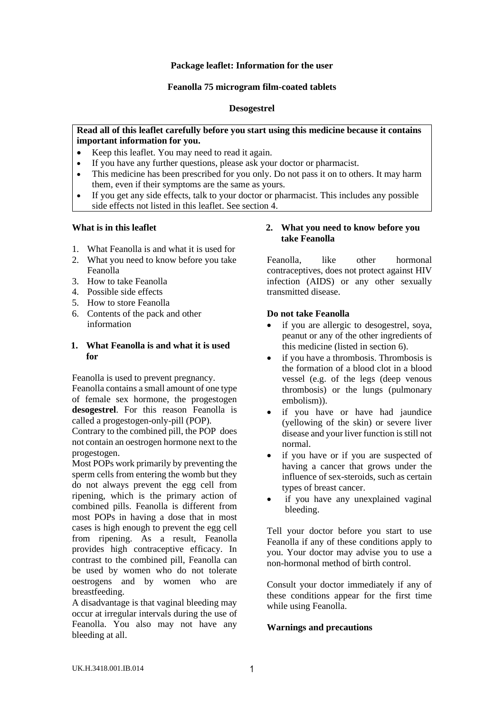### **Package leaflet: Information for the user**

### **Feanolla 75 microgram film-coated tablets**

## **Desogestrel**

### **Read all of this leaflet carefully before you start using this medicine because it contains important information for you.**

- Keep this leaflet. You may need to read it again.
- If you have any further questions, please ask your doctor or pharmacist.
- This medicine has been prescribed for you only. Do not pass it on to others. It may harm them, even if their symptoms are the same as yours.
- If you get any side effects, talk to your doctor or pharmacist. This includes any possible side effects not listed in this leaflet. See section 4.

### **What is in this leaflet**

- 1. What Feanolla is and what it is used for
- 2. What you need to know before you take Feanolla
- 3. How to take Feanolla
- 4. Possible side effects
- 5. How to store Feanolla
- 6. Contents of the pack and other information

# **1. What Feanolla is and what it is used for**

Feanolla is used to prevent pregnancy.

Feanolla contains a small amount of one type of female sex hormone, the progestogen **desogestrel**. For this reason Feanolla is called a progestogen-only-pill (POP).

Contrary to the combined pill, the POP does not contain an oestrogen hormone next to the progestogen.

Most POPs work primarily by preventing the sperm cells from entering the womb but they do not always prevent the egg cell from ripening, which is the primary action of combined pills. Feanolla is different from most POPs in having a dose that in most cases is high enough to prevent the egg cell from ripening. As a result, Feanolla provides high contraceptive efficacy. In contrast to the combined pill, Feanolla can be used by women who do not tolerate oestrogens and by women who are breastfeeding.

A disadvantage is that vaginal bleeding may occur at irregular intervals during the use of Feanolla. You also may not have any bleeding at all.

# **2. What you need to know before you take Feanolla**

Feanolla, like other hormonal contraceptives, does not protect against HIV infection (AIDS) or any other sexually transmitted disease.

## **Do not take Feanolla**

- if you are allergic to desogestrel, soya, peanut or any of the other ingredients of this medicine (listed in section 6).
- if you have a thrombosis. Thrombosis is the formation of a blood clot in a blood vessel (e.g. of the legs (deep venous thrombosis) or the lungs (pulmonary embolism)).
- if you have or have had jaundice (yellowing of the skin) or severe liver disease and your liver function is still not normal.
- if you have or if you are suspected of having a cancer that grows under the influence of sex-steroids, such as certain types of breast cancer.
- if you have any unexplained vaginal bleeding.

Tell your doctor before you start to use Feanolla if any of these conditions apply to you. Your doctor may advise you to use a non-hormonal method of birth control.

Consult your doctor immediately if any of these conditions appear for the first time while using Feanolla.

### **Warnings and precautions**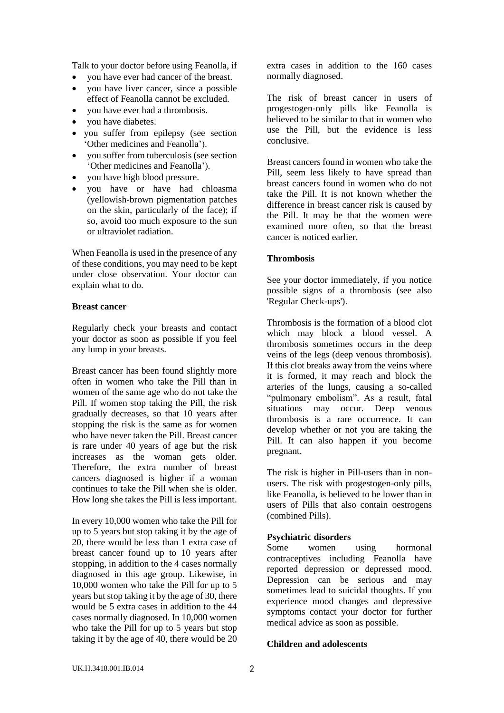Talk to your doctor before using Feanolla, if

- you have ever had cancer of the breast.
- you have liver cancer, since a possible effect of Feanolla cannot be excluded.
- you have ever had a thrombosis.
- you have diabetes.
- you suffer from epilepsy (see section 'Other medicines and Feanolla').
- you suffer from tuberculosis (see section 'Other medicines and Feanolla').
- you have high blood pressure.
- you have or have had chloasma (yellowish-brown pigmentation patches on the skin, particularly of the face); if so, avoid too much exposure to the sun or ultraviolet radiation.

When Feanolla is used in the presence of any of these conditions, you may need to be kept under close observation. Your doctor can explain what to do.

#### **Breast cancer**

Regularly check your breasts and contact your doctor as soon as possible if you feel any lump in your breasts.

Breast cancer has been found slightly more often in women who take the Pill than in women of the same age who do not take the Pill. If women stop taking the Pill, the risk gradually decreases, so that 10 years after stopping the risk is the same as for women who have never taken the Pill. Breast cancer is rare under 40 years of age but the risk increases as the woman gets older. Therefore, the extra number of breast cancers diagnosed is higher if a woman continues to take the Pill when she is older. How long she takes the Pill is less important.

In every 10,000 women who take the Pill for up to 5 years but stop taking it by the age of 20, there would be less than 1 extra case of breast cancer found up to 10 years after stopping, in addition to the 4 cases normally diagnosed in this age group. Likewise, in 10,000 women who take the Pill for up to 5 years but stop taking it by the age of 30, there would be 5 extra cases in addition to the 44 cases normally diagnosed. In 10,000 women who take the Pill for up to 5 years but stop taking it by the age of 40, there would be 20

extra cases in addition to the 160 cases normally diagnosed.

The risk of breast cancer in users of progestogen-only pills like Feanolla is believed to be similar to that in women who use the Pill, but the evidence is less conclusive.

Breast cancers found in women who take the Pill, seem less likely to have spread than breast cancers found in women who do not take the Pill. It is not known whether the difference in breast cancer risk is caused by the Pill. It may be that the women were examined more often, so that the breast cancer is noticed earlier.

## **Thrombosis**

See your doctor immediately, if you notice possible signs of a thrombosis (see also 'Regular Check-ups').

Thrombosis is the formation of a blood clot which may block a blood vessel. A thrombosis sometimes occurs in the deep veins of the legs (deep venous thrombosis). If this clot breaks away from the veins where it is formed, it may reach and block the arteries of the lungs, causing a so-called "pulmonary embolism". As a result, fatal situations may occur. Deep venous thrombosis is a rare occurrence. It can develop whether or not you are taking the Pill. It can also happen if you become pregnant.

The risk is higher in Pill-users than in nonusers. The risk with progestogen-only pills, like Feanolla, is believed to be lower than in users of Pills that also contain oestrogens (combined Pills).

### **Psychiatric disorders**

Some women using hormonal contraceptives including Feanolla have reported depression or depressed mood. Depression can be serious and may sometimes lead to suicidal thoughts. If you experience mood changes and depressive symptoms contact your doctor for further medical advice as soon as possible.

### **Children and adolescents**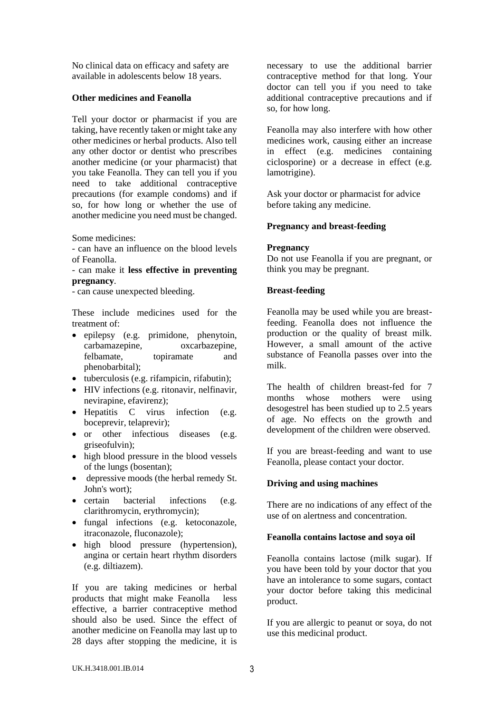No clinical data on efficacy and safety are available in adolescents below 18 years.

### **Other medicines and Feanolla**

Tell your doctor or pharmacist if you are taking, have recently taken or might take any other medicines or herbal products. Also tell any other doctor or dentist who prescribes another medicine (or your pharmacist) that you take Feanolla. They can tell you if you need to take additional contraceptive precautions (for example condoms) and if so, for how long or whether the use of another medicine you need must be changed.

Some medicines:

- can have an influence on the blood levels of Feanolla.

- can make it **less effective in preventing pregnancy**.

- can cause unexpected bleeding.

These include medicines used for the treatment of:

- epilepsy (e.g. primidone, phenytoin, carbamazepine, oxcarbazepine, felbamate, topiramate and phenobarbital);
- tuberculosis (e.g. rifampicin, rifabutin);
- HIV infections (e.g. ritonavir, nelfinavir, nevirapine, efavirenz);
- Hepatitis C virus infection (e.g. boceprevir, telaprevir);
- or other infectious diseases (e.g. griseofulvin);
- high blood pressure in the blood vessels of the lungs (bosentan);
- depressive moods (the herbal remedy St. John's wort);
- certain bacterial infections (e.g. clarithromycin, erythromycin);
- fungal infections (e.g. ketoconazole, itraconazole, fluconazole);
- high blood pressure (hypertension), angina or certain heart rhythm disorders (e.g. diltiazem).

If you are taking medicines or herbal products that might make Feanolla less effective, a barrier contraceptive method should also be used. Since the effect of another medicine on Feanolla may last up to 28 days after stopping the medicine, it is necessary to use the additional barrier contraceptive method for that long. Your doctor can tell you if you need to take additional contraceptive precautions and if so, for how long.

Feanolla may also interfere with how other medicines work, causing either an increase in effect (e.g. medicines containing ciclosporine) or a decrease in effect (e.g. lamotrigine).

Ask your doctor or pharmacist for advice before taking any medicine.

## **Pregnancy and breast-feeding**

### **Pregnancy**

Do not use Feanolla if you are pregnant, or think you may be pregnant.

## **Breast-feeding**

Feanolla may be used while you are breastfeeding. Feanolla does not influence the production or the quality of breast milk. However, a small amount of the active substance of Feanolla passes over into the milk.

The health of children breast-fed for 7 months whose mothers were using desogestrel has been studied up to 2.5 years of age. No effects on the growth and development of the children were observed.

If you are breast-feeding and want to use Feanolla, please contact your doctor.

# **Driving and using machines**

There are no indications of any effect of the use of on alertness and concentration.

### **Feanolla contains lactose and soya oil**

Feanolla contains lactose (milk sugar). If you have been told by your doctor that you have an intolerance to some sugars, contact your doctor before taking this medicinal product.

If you are allergic to peanut or soya, do not use this medicinal product.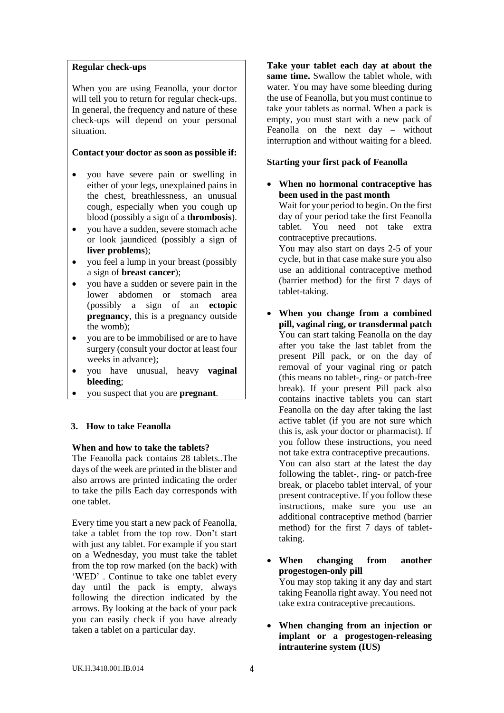## **Regular check-ups**

When you are using Feanolla, your doctor will tell you to return for regular check-ups. In general, the frequency and nature of these check-ups will depend on your personal situation.

## **Contact your doctor as soon as possible if:**

- you have severe pain or swelling in either of your legs, unexplained pains in the chest, breathlessness, an unusual cough, especially when you cough up blood (possibly a sign of a **thrombosis**).
- you have a sudden, severe stomach ache or look jaundiced (possibly a sign of **liver problems**);
- you feel a lump in your breast (possibly a sign of **breast cancer**);
- you have a sudden or severe pain in the lower abdomen or stomach area (possibly a sign of an **ectopic pregnancy**, this is a pregnancy outside the womb);
- you are to be immobilised or are to have surgery (consult your doctor at least four weeks in advance);
- you have unusual, heavy **vaginal bleeding**;
- you suspect that you are **pregnant**.

# **3. How to take Feanolla**

# **When and how to take the tablets?**

The Feanolla pack contains 28 tablets..The days of the week are printed in the blister and also arrows are printed indicating the order to take the pills Each day corresponds with one tablet.

Every time you start a new pack of Feanolla, take a tablet from the top row. Don't start with just any tablet. For example if you start on a Wednesday, you must take the tablet from the top row marked (on the back) with 'WED' . Continue to take one tablet every day until the pack is empty, always following the direction indicated by the arrows. By looking at the back of your pack you can easily check if you have already taken a tablet on a particular day.

**Take your tablet each day at about the same time.** Swallow the tablet whole, with water. You may have some bleeding during the use of Feanolla, but you must continue to take your tablets as normal. When a pack is empty, you must start with a new pack of Feanolla on the next day – without interruption and without waiting for a bleed.

# **Starting your first pack of Feanolla**

• **When no hormonal contraceptive has been used in the past month**

Wait for your period to begin. On the first day of your period take the first Feanolla tablet. You need not take extra contraceptive precautions.

You may also start on days 2-5 of your cycle, but in that case make sure you also use an additional contraceptive method (barrier method) for the first 7 days of tablet-taking.

- **When you change from a combined pill, vaginal ring, or transdermal patch** You can start taking Feanolla on the day after you take the last tablet from the present Pill pack, or on the day of removal of your vaginal ring or patch (this means no tablet-, ring- or patch-free break). If your present Pill pack also contains inactive tablets you can start Feanolla on the day after taking the last active tablet (if you are not sure which this is, ask your doctor or pharmacist). If you follow these instructions, you need not take extra contraceptive precautions. You can also start at the latest the day following the tablet-, ring- or patch-free break, or placebo tablet interval, of your present contraceptive. If you follow these instructions, make sure you use an additional contraceptive method (barrier method) for the first 7 days of tablettaking.
- **When changing from another progestogen-only pill** You may stop taking it any day and start taking Feanolla right away. You need not take extra contraceptive precautions.
- **When changing from an injection or implant or a progestogen-releasing intrauterine system (IUS)**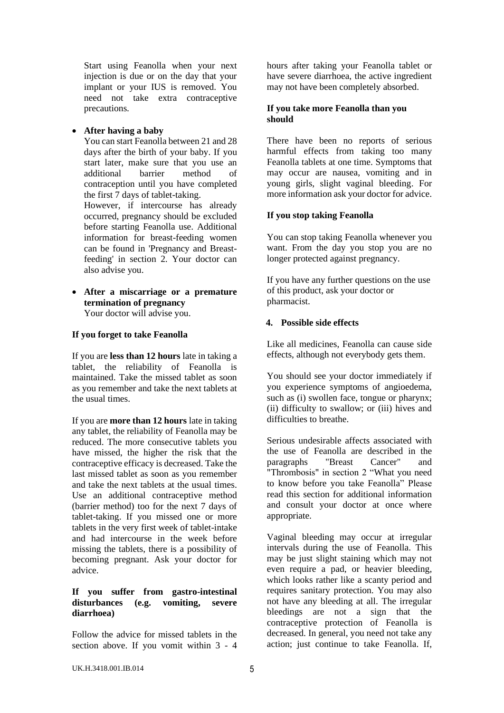Start using Feanolla when your next injection is due or on the day that your implant or your IUS is removed. You need not take extra contraceptive precautions.

## • **After having a baby**

You can start Feanolla between 21 and 28 days after the birth of your baby. If you start later, make sure that you use an additional barrier method of contraception until you have completed the first 7 days of tablet-taking. However, if intercourse has already occurred, pregnancy should be excluded before starting Feanolla use. Additional information for breast-feeding women can be found in 'Pregnancy and Breastfeeding' in section 2. Your doctor can also advise you.

• **After a miscarriage or a premature termination of pregnancy** Your doctor will advise you.

### **If you forget to take Feanolla**

If you are **less than 12 hours** late in taking a tablet, the reliability of Feanolla is maintained. Take the missed tablet as soon as you remember and take the next tablets at the usual times.

If you are **more than 12 hours** late in taking any tablet, the reliability of Feanolla may be reduced. The more consecutive tablets you have missed, the higher the risk that the contraceptive efficacy is decreased. Take the last missed tablet as soon as you remember and take the next tablets at the usual times. Use an additional contraceptive method (barrier method) too for the next 7 days of tablet-taking. If you missed one or more tablets in the very first week of tablet-intake and had intercourse in the week before missing the tablets, there is a possibility of becoming pregnant. Ask your doctor for advice.

### **If you suffer from gastro-intestinal disturbances (e.g. vomiting, severe diarrhoea)**

Follow the advice for missed tablets in the section above. If you vomit within 3 - 4 hours after taking your Feanolla tablet or have severe diarrhoea, the active ingredient may not have been completely absorbed.

### **If you take more Feanolla than you should**

There have been no reports of serious harmful effects from taking too many Feanolla tablets at one time. Symptoms that may occur are nausea, vomiting and in young girls, slight vaginal bleeding. For more information ask your doctor for advice.

# **If you stop taking Feanolla**

You can stop taking Feanolla whenever you want. From the day you stop you are no longer protected against pregnancy.

If you have any further questions on the use of this product, ask your doctor or pharmacist.

## **4. Possible side effects**

Like all medicines, Feanolla can cause side effects, although not everybody gets them.

You should see your doctor immediately if you experience symptoms of angioedema, such as (i) swollen face, tongue or pharynx; (ii) difficulty to swallow; or (iii) hives and difficulties to breathe.

Serious undesirable affects associated with the use of Feanolla are described in the paragraphs "Breast Cancer" and "Thrombosis" in section 2 "What you need to know before you take Feanolla" Please read this section for additional information and consult your doctor at once where appropriate.

Vaginal bleeding may occur at irregular intervals during the use of Feanolla. This may be just slight staining which may not even require a pad, or heavier bleeding, which looks rather like a scanty period and requires sanitary protection. You may also not have any bleeding at all. The irregular bleedings are not a sign that the contraceptive protection of Feanolla is decreased. In general, you need not take any action; just continue to take Feanolla. If,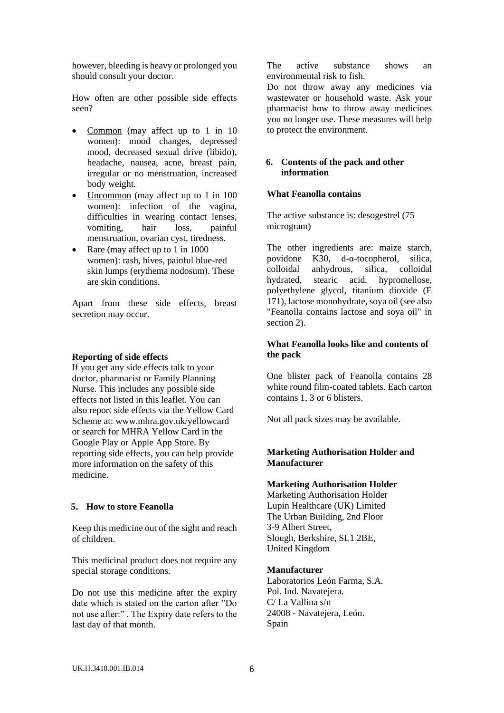however, bleeding is heavy or prolonged you should consult your doctor.

How often are other possible side effects seen?

- Common (may affect up to 1 in 10 women): mood changes, depressed mood, decreased sexual drive (libido), headache, nausea, acne, breast pain, irregular or no menstruation, increased body weight.
- Uncommon (may affect up to 1 in 100) women): infection of the vagina, difficulties in wearing contact lenses, vomiting, hair loss, painful menstruation, ovarian cyst, tiredness.
- Rare (may affect up to 1 in 1000 women): rash, hives, painful blue-red skin lumps (erythema nodosum). These are skin conditions.

Apart from these side effects, breast secretion may occur.

#### **Reporting of side effects**

If you get any side effects talk to your doctor, pharmacist or Family Planning Nurse. This includes any possible side effects not listed in this leaflet. You can also report side effects via the Yellow Card Scheme at: www.mhra.gov.uk/yellowcard or search for MHRA Yellow Card in the Google Play or Apple App Store. By reporting side effects, you can help provide more information on the safety of this medicine.

### **5. How to store Feanolla**

Keep this medicine out of the sight and reach of children.

This medicinal product does not require any special storage conditions.

Do not use this medicine after the expiry date which is stated on the carton after "Do not use after:" . The Expiry date refers to the last day of that month.

The active substance shows an environmental risk to fish.

Do not throw away any medicines via wastewater or household waste. Ask your pharmacist how to throw away medicines you no longer use. These measures will help to protect the environment.

### **6. Contents of the pack and other information**

#### **What Feanolla contains**

The active substance is: desogestrel (75 microgram)

The other ingredients are: maize starch, povidone K30, d-α-tocopherol, silica, colloidal anhydrous, silica, colloidal hydrated, stearic acid, hypromellose, polyethylene glycol, titanium dioxide (E 171), lactose monohydrate, soya oil (see also "Feanolla contains lactose and soya oil" in section 2).

### **What Feanolla looks like and contents of the pack**

One blister pack of Feanolla contains 28 white round film-coated tablets. Each carton contains 1, 3 or 6 blisters.

Not all pack sizes may be available.

### **Marketing Authorisation Holder and Manufacturer**

#### **Marketing Authorisation Holder**

Marketing Authorisation Holder Lupin Healthcare (UK) Limited The Urban Building, 2nd Floor 3-9 Albert Street, Slough, Berkshire, SL1 2BE, United Kingdom

#### **Manufacturer**

Laboratorios León Farma, S.A. Pol. Ind. Navatejera. C/ La Vallina s/n 24008 - Navatejera, León. Spain